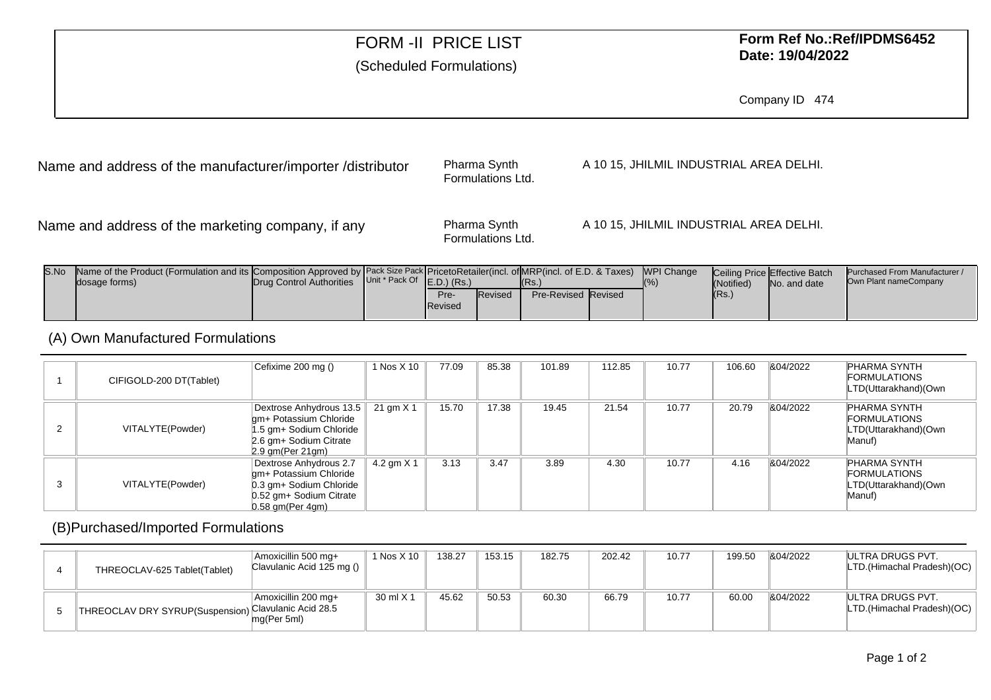## FORM -II PRICE LIST

#### (Scheduled Formulations)

### **Form Ref No.:Ref/IPDMS6452Date: 19/04/2022**

Company ID <sup>474</sup>

Name and address of the manufacturer/importer /distributor

Pharma SynthFormulations Ltd. A 10 15, JHILMIL INDUSTRIAL AREA DELHI.

Name and address of the marketing company, if any

Pharma SynthFormulations Ltd. A 10 15, JHILMIL INDUSTRIAL AREA DELHI.

| S.No | Name of the Product (Formulation and its Composition Approved by Pack Size Pack PricetoRetailer(incl. of MRP(incl. of E.D. & Taxes) MPI Change<br>dosage forms) | Drug Control Authorities Unit * Pack Of E.D.) (Rs.) |                 |                | (Rs.)                      | $\sqrt{96}$ | (Notified) | <b>Ceiling Price Effective Batch</b><br>No. and date | Purchased From Manufacturer /<br>Own Plant nameCompany |
|------|-----------------------------------------------------------------------------------------------------------------------------------------------------------------|-----------------------------------------------------|-----------------|----------------|----------------------------|-------------|------------|------------------------------------------------------|--------------------------------------------------------|
|      |                                                                                                                                                                 |                                                     | Pre-<br>Revised | <b>Revised</b> | <b>Pre-Revised Revised</b> |             | IRs.       |                                                      |                                                        |

#### (A) Own Manufactured Formulations

|   | CIFIGOLD-200 DT(Tablet) | Cefixime 200 mg ()                                                                                                                     | 1 Nos X 10   | 77.09 | 85.38 | 101.89 | 112.85 | 10.77 | 106.60 | 804/2022 | <b>PHARMA SYNTH</b><br><b>FORMULATIONS</b><br>LTD(Uttarakhand)(Own    |
|---|-------------------------|----------------------------------------------------------------------------------------------------------------------------------------|--------------|-------|-------|--------|--------|-------|--------|----------|-----------------------------------------------------------------------|
|   | VITALYTE(Powder)        | Dextrose Anhydrous 13.5 21 gm X 1<br>gm+ Potassium Chloride<br>1.5 gm+ Sodium Chloride<br>2.6 gm+ Sodium Citrate<br>$2.9$ gm(Per 21gm) |              | 15.70 | 17.38 | 19.45  | 21.54  | 10.77 | 20.79  | &04/2022 | PHARMA SYNTH<br><b>FORMULATIONS</b><br>LTD(Uttarakhand)(Own<br>Manuf) |
| 3 | VITALYTE(Powder)        | Dextrose Anhydrous 2.7<br>gm+ Potassium Chloride<br>0.3 gm+ Sodium Chloride<br>0.52 gm+ Sodium Citrate<br>$0.58$ am(Per 4am)           | 4.2 gm $X$ 1 | 3.13  | 3.47  | 3.89   | 4.30   | 10.77 | 4.16   | 804/2022 | PHARMA SYNTH<br>FORMULATIONS<br>LTD(Uttarakhand)(Own<br>Manuf)        |

#### (B)Purchased/Imported Formulations

| THREOCLAV-625 Tablet(Tablet)                         | Amoxicillin 500 mg+<br>Clavulanic Acid 125 mg () $\frac{1}{2}$ | 1 Nos X 10 | 138.27 | 153.15 | 182.75 | 202.42 | 10.77 | 199.50 | 804/2022 | IULTRA DRUGS PVT.<br>LTD.(Himachal Pradesh)(OC) |
|------------------------------------------------------|----------------------------------------------------------------|------------|--------|--------|--------|--------|-------|--------|----------|-------------------------------------------------|
| THREOCLAV DRY SYRUP(Suspension) Clavulanic Acid 28.5 | Amoxicillin 200 mq+<br>mg(Per 5ml)                             | 30 ml X 1  | 45.62  | 50.53  | 60.30  | 66.79  | 10.77 | 60.00  | 804/2022 | IULTRA DRUGS PVT.<br>LTD.(Himachal Pradesh)(OC) |